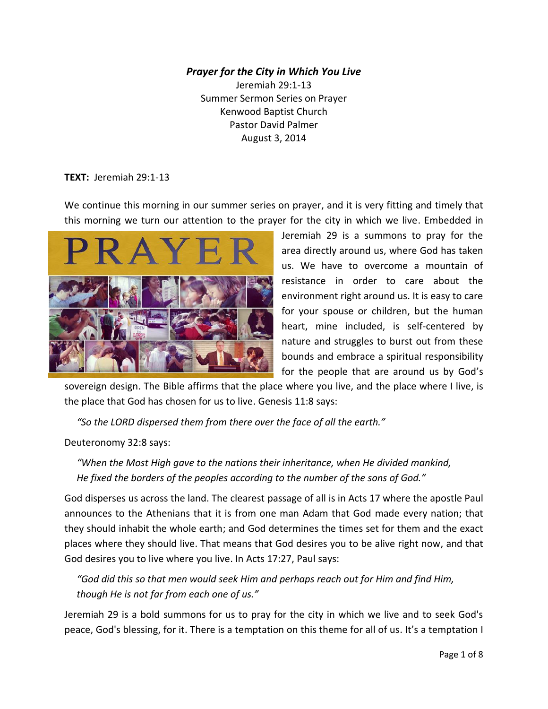*Prayer for the City in Which You Live* Jeremiah 29:1-13 Summer Sermon Series on Prayer Kenwood Baptist Church Pastor David Palmer August 3, 2014

**TEXT:** Jeremiah 29:1-13

We continue this morning in our summer series on prayer, and it is very fitting and timely that this morning we turn our attention to the prayer for the city in which we live. Embedded in



Jeremiah 29 is a summons to pray for the area directly around us, where God has taken us. We have to overcome a mountain of resistance in order to care about the environment right around us. It is easy to care for your spouse or children, but the human heart, mine included, is self-centered by nature and struggles to burst out from these bounds and embrace a spiritual responsibility for the people that are around us by God's

sovereign design. The Bible affirms that the place where you live, and the place where I live, is the place that God has chosen for us to live. Genesis 11:8 says:

*"So the LORD dispersed them from there over the face of all the earth."*

Deuteronomy 32:8 says:

 *"When the Most High gave to the nations their inheritance, when He divided mankind, He fixed the borders of the peoples according to the number of the sons of God."* 

God disperses us across the land. The clearest passage of all is in Acts 17 where the apostle Paul announces to the Athenians that it is from one man Adam that God made every nation; that they should inhabit the whole earth; and God determines the times set for them and the exact places where they should live. That means that God desires you to be alive right now, and that God desires you to live where you live. In Acts 17:27, Paul says:

 *"God did this so that men would seek Him and perhaps reach out for Him and find Him, though He is not far from each one of us."* 

Jeremiah 29 is a bold summons for us to pray for the city in which we live and to seek God's peace, God's blessing, for it. There is a temptation on this theme for all of us. It's a temptation I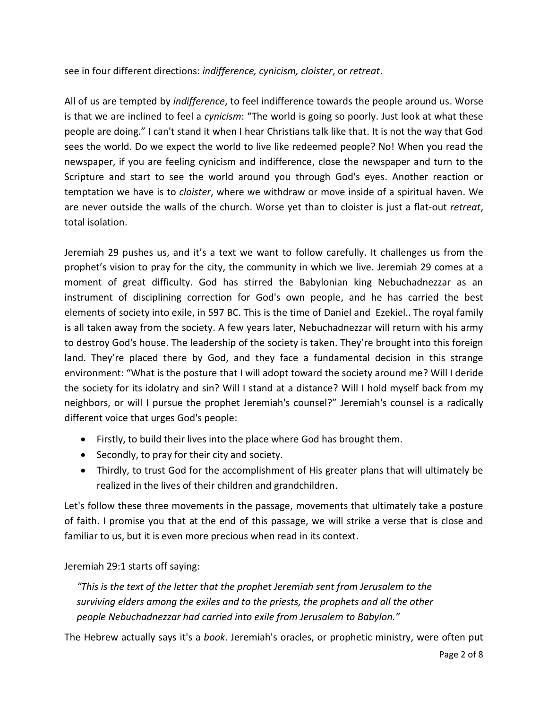see in four different directions: *indifference, cynicism, cloister*, or *retreat*.

All of us are tempted by *indifference*, to feel indifference towards the people around us. Worse is that we are inclined to feel a *cynicism*: "The world is going so poorly. Just look at what these people are doing." I can't stand it when I hear Christians talk like that. It is not the way that God sees the world. Do we expect the world to live like redeemed people? No! When you read the newspaper, if you are feeling cynicism and indifference, close the newspaper and turn to the Scripture and start to see the world around you through God's eyes. Another reaction or temptation we have is to *cloister*, where we withdraw or move inside of a spiritual haven. We are never outside the walls of the church. Worse yet than to cloister is just a flat-out *retreat*, total isolation.

Jeremiah 29 pushes us, and it's a text we want to follow carefully. It challenges us from the prophet's vision to pray for the city, the community in which we live. Jeremiah 29 comes at a moment of great difficulty. God has stirred the Babylonian king Nebuchadnezzar as an instrument of disciplining correction for God's own people, and he has carried the best elements of society into exile, in 597 BC. This is the time of Daniel and Ezekiel.. The royal family is all taken away from the society. A few years later, Nebuchadnezzar will return with his army to destroy God's house. The leadership of the society is taken. They're brought into this foreign land. They're placed there by God, and they face a fundamental decision in this strange environment: "What is the posture that I will adopt toward the society around me? Will I deride the society for its idolatry and sin? Will I stand at a distance? Will I hold myself back from my neighbors, or will I pursue the prophet Jeremiah's counsel?" Jeremiah's counsel is a radically different voice that urges God's people:

- Firstly, to build their lives into the place where God has brought them.
- Secondly, to pray for their city and society.
- Thirdly, to trust God for the accomplishment of His greater plans that will ultimately be realized in the lives of their children and grandchildren.

Let's follow these three movements in the passage, movements that ultimately take a posture of faith. I promise you that at the end of this passage, we will strike a verse that is close and familiar to us, but it is even more precious when read in its context.

Jeremiah 29:1 starts off saying:

 *"This is the text of the letter that the prophet Jeremiah sent from Jerusalem to the surviving elders among the exiles and to the priests, the prophets and all the other people Nebuchadnezzar had carried into exile from Jerusalem to Babylon."*

The Hebrew actually says it's a *book*. Jeremiah's oracles, or prophetic ministry, were often put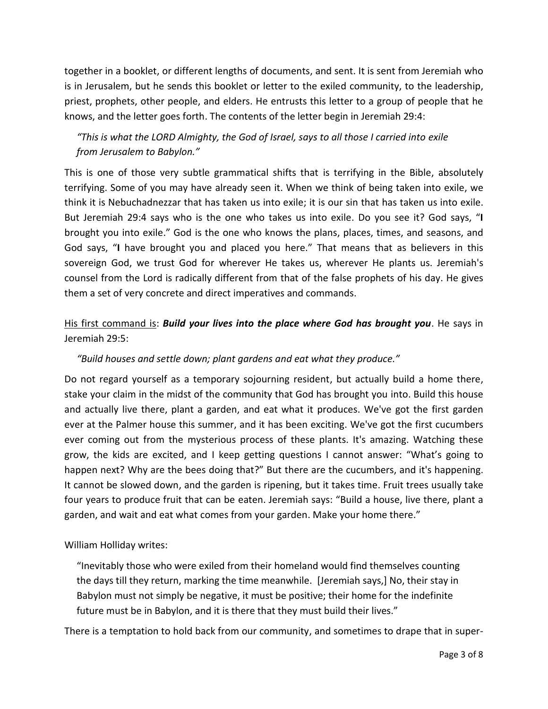together in a booklet, or different lengths of documents, and sent. It is sent from Jeremiah who is in Jerusalem, but he sends this booklet or letter to the exiled community, to the leadership, priest, prophets, other people, and elders. He entrusts this letter to a group of people that he knows, and the letter goes forth. The contents of the letter begin in Jeremiah 29:4:

## *"This is what the LORD Almighty, the God of Israel, says to all those I carried into exile from Jerusalem to Babylon."*

This is one of those very subtle grammatical shifts that is terrifying in the Bible, absolutely terrifying. Some of you may have already seen it. When we think of being taken into exile, we think it is Nebuchadnezzar that has taken us into exile; it is our sin that has taken us into exile. But Jeremiah 29:4 says who is the one who takes us into exile. Do you see it? God says, "**I**  brought you into exile." God is the one who knows the plans, places, times, and seasons, and God says, "**I** have brought you and placed you here." That means that as believers in this sovereign God, we trust God for wherever He takes us, wherever He plants us. Jeremiah's counsel from the Lord is radically different from that of the false prophets of his day. He gives them a set of very concrete and direct imperatives and commands.

## His first command is: *Build your lives into the place where God has brought you*. He says in Jeremiah 29:5:

#### *"Build houses and settle down; plant gardens and eat what they produce."*

Do not regard yourself as a temporary sojourning resident, but actually build a home there, stake your claim in the midst of the community that God has brought you into. Build this house and actually live there, plant a garden, and eat what it produces. We've got the first garden ever at the Palmer house this summer, and it has been exciting. We've got the first cucumbers ever coming out from the mysterious process of these plants. It's amazing. Watching these grow, the kids are excited, and I keep getting questions I cannot answer: "What's going to happen next? Why are the bees doing that?" But there are the cucumbers, and it's happening. It cannot be slowed down, and the garden is ripening, but it takes time. Fruit trees usually take four years to produce fruit that can be eaten. Jeremiah says: "Build a house, live there, plant a garden, and wait and eat what comes from your garden. Make your home there."

#### William Holliday writes:

 "Inevitably those who were exiled from their homeland would find themselves counting the days till they return, marking the time meanwhile. [Jeremiah says,] No, their stay in Babylon must not simply be negative, it must be positive; their home for the indefinite future must be in Babylon, and it is there that they must build their lives."

There is a temptation to hold back from our community, and sometimes to drape that in super-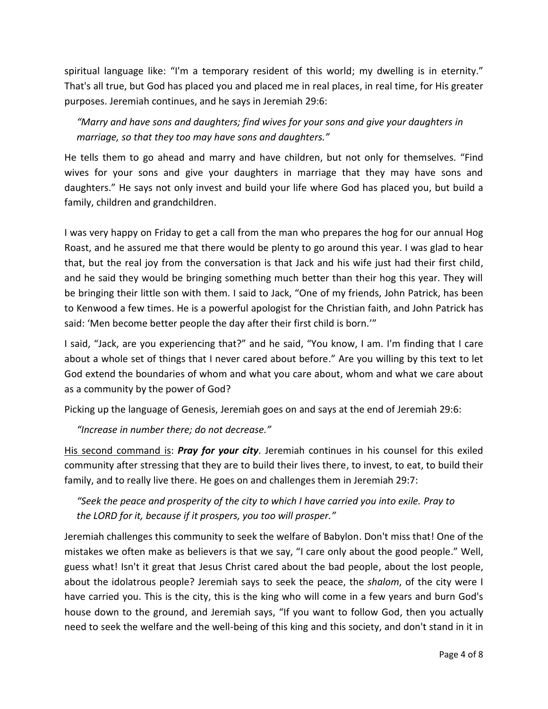spiritual language like: "I'm a temporary resident of this world; my dwelling is in eternity." That's all true, but God has placed you and placed me in real places, in real time, for His greater purposes. Jeremiah continues, and he says in Jeremiah 29:6:

 *"Marry and have sons and daughters; find wives for your sons and give your daughters in marriage, so that they too may have sons and daughters."*

He tells them to go ahead and marry and have children, but not only for themselves. "Find wives for your sons and give your daughters in marriage that they may have sons and daughters." He says not only invest and build your life where God has placed you, but build a family, children and grandchildren.

I was very happy on Friday to get a call from the man who prepares the hog for our annual Hog Roast, and he assured me that there would be plenty to go around this year. I was glad to hear that, but the real joy from the conversation is that Jack and his wife just had their first child, and he said they would be bringing something much better than their hog this year. They will be bringing their little son with them. I said to Jack, "One of my friends, John Patrick, has been to Kenwood a few times. He is a powerful apologist for the Christian faith, and John Patrick has said: 'Men become better people the day after their first child is born.'"

I said, "Jack, are you experiencing that?" and he said, "You know, I am. I'm finding that I care about a whole set of things that I never cared about before." Are you willing by this text to let God extend the boundaries of whom and what you care about, whom and what we care about as a community by the power of God?

Picking up the language of Genesis, Jeremiah goes on and says at the end of Jeremiah 29:6:

*"Increase in number there; do not decrease."*

His second command is: *Pray for your city*. Jeremiah continues in his counsel for this exiled community after stressing that they are to build their lives there, to invest, to eat, to build their family, and to really live there. He goes on and challenges them in Jeremiah 29:7:

# *"Seek the peace and prosperity of the city to which I have carried you into exile. Pray to the LORD for it, because if it prospers, you too will prosper."*

Jeremiah challenges this community to seek the welfare of Babylon. Don't miss that! One of the mistakes we often make as believers is that we say, "I care only about the good people." Well, guess what! Isn't it great that Jesus Christ cared about the bad people, about the lost people, about the idolatrous people? Jeremiah says to seek the peace, the *shalom*, of the city were I have carried you. This is the city, this is the king who will come in a few years and burn God's house down to the ground, and Jeremiah says, "If you want to follow God, then you actually need to seek the welfare and the well-being of this king and this society, and don't stand in it in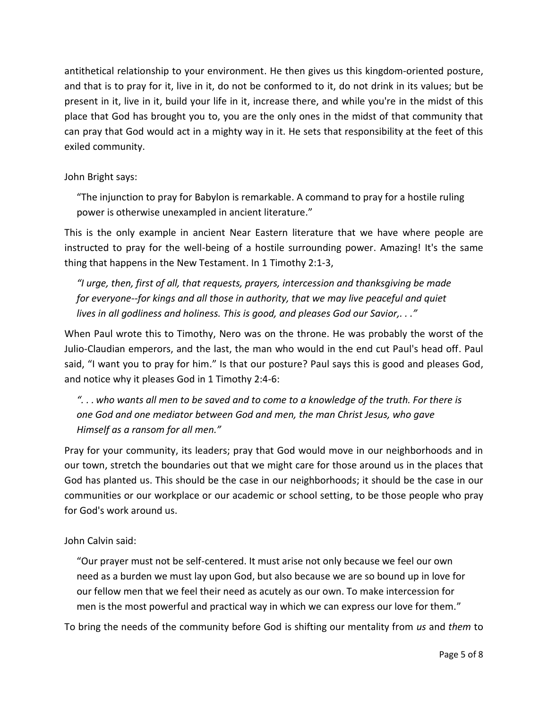antithetical relationship to your environment. He then gives us this kingdom-oriented posture, and that is to pray for it, live in it, do not be conformed to it, do not drink in its values; but be present in it, live in it, build your life in it, increase there, and while you're in the midst of this place that God has brought you to, you are the only ones in the midst of that community that can pray that God would act in a mighty way in it. He sets that responsibility at the feet of this exiled community.

#### John Bright says:

 "The injunction to pray for Babylon is remarkable. A command to pray for a hostile ruling power is otherwise unexampled in ancient literature."

This is the only example in ancient Near Eastern literature that we have where people are instructed to pray for the well-being of a hostile surrounding power. Amazing! It's the same thing that happens in the New Testament. In 1 Timothy 2:1-3,

 *"I urge, then, first of all, that requests, prayers, intercession and thanksgiving be made for everyone--for kings and all those in authority, that we may live peaceful and quiet lives in all godliness and holiness. This is good, and pleases God our Savior,. . ."*

When Paul wrote this to Timothy, Nero was on the throne. He was probably the worst of the Julio-Claudian emperors, and the last, the man who would in the end cut Paul's head off. Paul said, "I want you to pray for him." Is that our posture? Paul says this is good and pleases God, and notice why it pleases God in 1 Timothy 2:4-6:

 *". . . who wants all men to be saved and to come to a knowledge of the truth. For there is one God and one mediator between God and men, the man Christ Jesus, who gave Himself as a ransom for all men."*

Pray for your community, its leaders; pray that God would move in our neighborhoods and in our town, stretch the boundaries out that we might care for those around us in the places that God has planted us. This should be the case in our neighborhoods; it should be the case in our communities or our workplace or our academic or school setting, to be those people who pray for God's work around us.

### John Calvin said:

 "Our prayer must not be self-centered. It must arise not only because we feel our own need as a burden we must lay upon God, but also because we are so bound up in love for our fellow men that we feel their need as acutely as our own. To make intercession for men is the most powerful and practical way in which we can express our love for them."

To bring the needs of the community before God is shifting our mentality from *us* and *them* to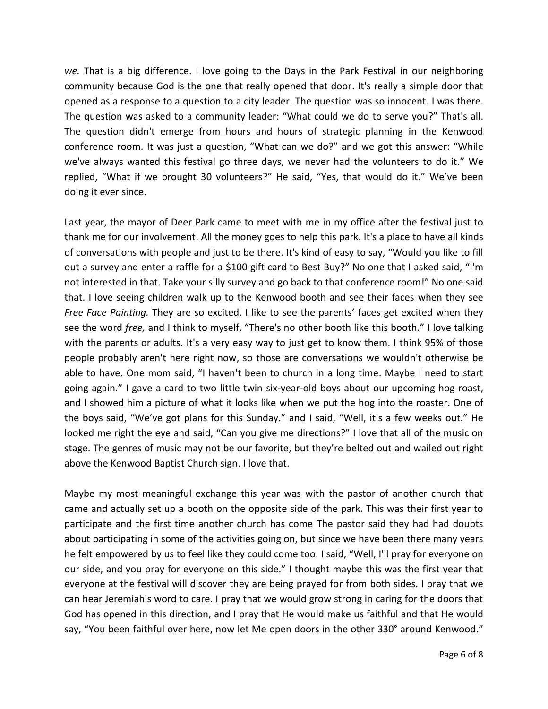*we.* That is a big difference. I love going to the Days in the Park Festival in our neighboring community because God is the one that really opened that door. It's really a simple door that opened as a response to a question to a city leader. The question was so innocent. I was there. The question was asked to a community leader: "What could we do to serve you?" That's all. The question didn't emerge from hours and hours of strategic planning in the Kenwood conference room. It was just a question, "What can we do?" and we got this answer: "While we've always wanted this festival go three days, we never had the volunteers to do it." We replied, "What if we brought 30 volunteers?" He said, "Yes, that would do it." We've been doing it ever since.

Last year, the mayor of Deer Park came to meet with me in my office after the festival just to thank me for our involvement. All the money goes to help this park. It's a place to have all kinds of conversations with people and just to be there. It's kind of easy to say, "Would you like to fill out a survey and enter a raffle for a \$100 gift card to Best Buy?" No one that I asked said, "I'm not interested in that. Take your silly survey and go back to that conference room!" No one said that. I love seeing children walk up to the Kenwood booth and see their faces when they see *Free Face Painting.* They are so excited. I like to see the parents' faces get excited when they see the word *free,* and I think to myself, "There's no other booth like this booth." I love talking with the parents or adults. It's a very easy way to just get to know them. I think 95% of those people probably aren't here right now, so those are conversations we wouldn't otherwise be able to have. One mom said, "I haven't been to church in a long time. Maybe I need to start going again." I gave a card to two little twin six-year-old boys about our upcoming hog roast, and I showed him a picture of what it looks like when we put the hog into the roaster. One of the boys said, "We've got plans for this Sunday." and I said, "Well, it's a few weeks out." He looked me right the eye and said, "Can you give me directions?" I love that all of the music on stage. The genres of music may not be our favorite, but they're belted out and wailed out right above the Kenwood Baptist Church sign. I love that.

Maybe my most meaningful exchange this year was with the pastor of another church that came and actually set up a booth on the opposite side of the park. This was their first year to participate and the first time another church has come The pastor said they had had doubts about participating in some of the activities going on, but since we have been there many years he felt empowered by us to feel like they could come too. I said, "Well, I'll pray for everyone on our side, and you pray for everyone on this side." I thought maybe this was the first year that everyone at the festival will discover they are being prayed for from both sides. I pray that we can hear Jeremiah's word to care. I pray that we would grow strong in caring for the doors that God has opened in this direction, and I pray that He would make us faithful and that He would say, "You been faithful over here, now let Me open doors in the other 330° around Kenwood."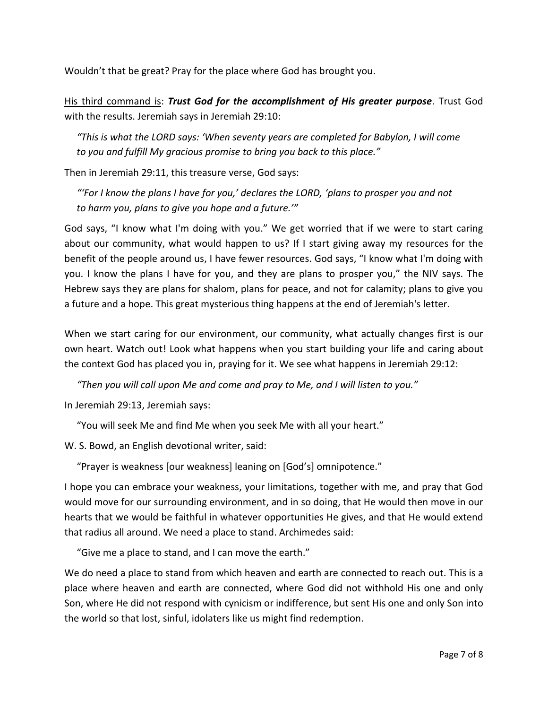Wouldn't that be great? Pray for the place where God has brought you.

His third command is: *Trust God for the accomplishment of His greater purpose*. Trust God with the results. Jeremiah says in Jeremiah 29:10:

 *"This is what the LORD says: 'When seventy years are completed for Babylon, I will come to you and fulfill My gracious promise to bring you back to this place."*

Then in Jeremiah 29:11, this treasure verse, God says:

 *"'For I know the plans I have for you,' declares the LORD, 'plans to prosper you and not to harm you, plans to give you hope and a future.'"*

God says, "I know what I'm doing with you." We get worried that if we were to start caring about our community, what would happen to us? If I start giving away my resources for the benefit of the people around us, I have fewer resources. God says, "I know what I'm doing with you. I know the plans I have for you, and they are plans to prosper you," the NIV says. The Hebrew says they are plans for shalom, plans for peace, and not for calamity; plans to give you a future and a hope. This great mysterious thing happens at the end of Jeremiah's letter.

When we start caring for our environment, our community, what actually changes first is our own heart. Watch out! Look what happens when you start building your life and caring about the context God has placed you in, praying for it. We see what happens in Jeremiah 29:12:

*"Then you will call upon Me and come and pray to Me, and I will listen to you."*

In Jeremiah 29:13, Jeremiah says:

"You will seek Me and find Me when you seek Me with all your heart."

W. S. Bowd, an English devotional writer, said:

"Prayer is weakness [our weakness] leaning on [God's] omnipotence."

I hope you can embrace your weakness, your limitations, together with me, and pray that God would move for our surrounding environment, and in so doing, that He would then move in our hearts that we would be faithful in whatever opportunities He gives, and that He would extend that radius all around. We need a place to stand. Archimedes said:

"Give me a place to stand, and I can move the earth."

We do need a place to stand from which heaven and earth are connected to reach out. This is a place where heaven and earth are connected, where God did not withhold His one and only Son, where He did not respond with cynicism or indifference, but sent His one and only Son into the world so that lost, sinful, idolaters like us might find redemption.